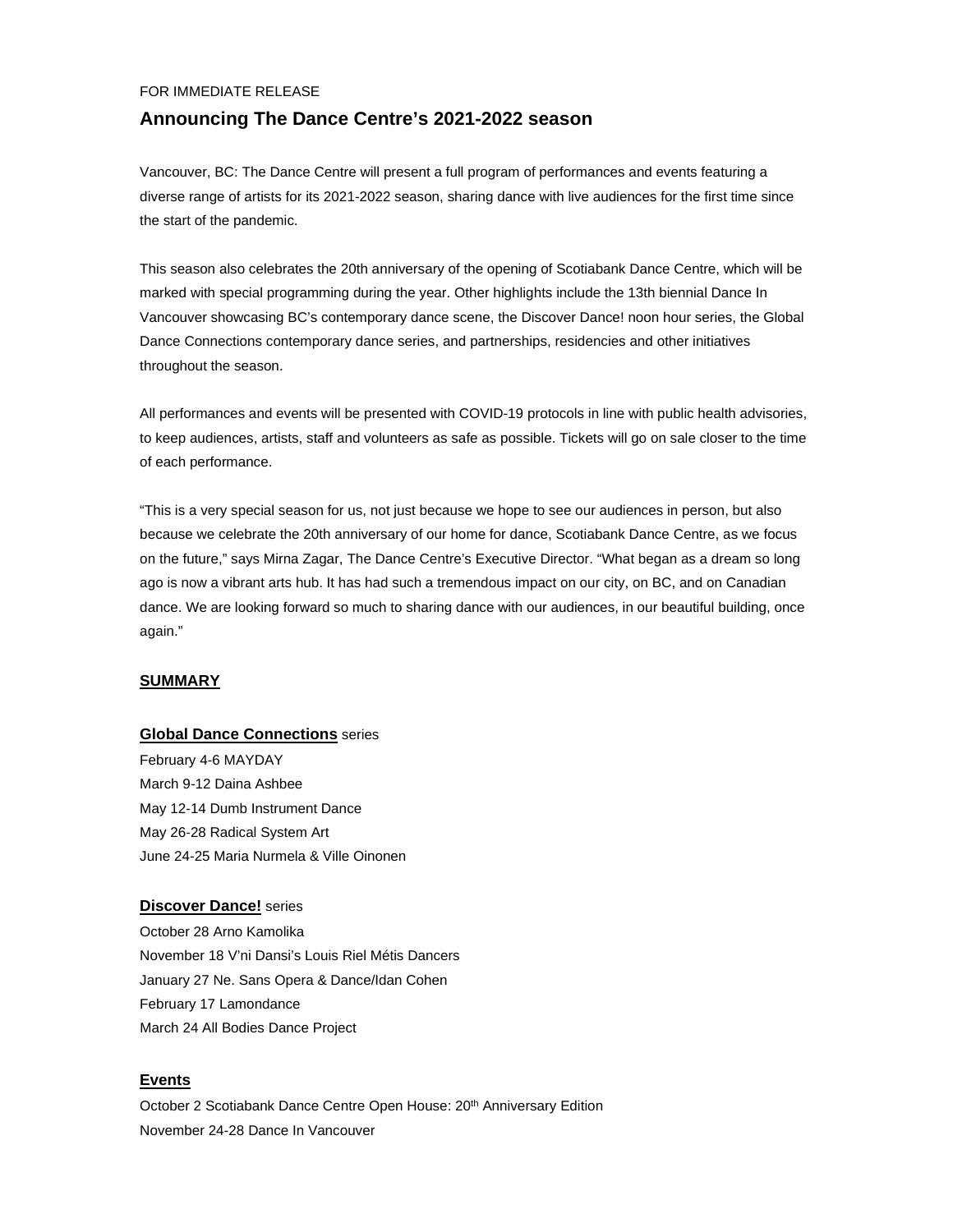### FOR IMMEDIATE RELEASE

## **Announcing The Dance Centre's 2021-2022 season**

Vancouver, BC: The Dance Centre will present a full program of performances and events featuring a diverse range of artists for its 2021-2022 season, sharing dance with live audiences for the first time since the start of the pandemic.

This season also celebrates the 20th anniversary of the opening of Scotiabank Dance Centre, which will be marked with special programming during the year. Other highlights include the 13th biennial Dance In Vancouver showcasing BC's contemporary dance scene, the Discover Dance! noon hour series, the Global Dance Connections contemporary dance series, and partnerships, residencies and other initiatives throughout the season.

All performances and events will be presented with COVID-19 protocols in line with public health advisories, to keep audiences, artists, staff and volunteers as safe as possible. Tickets will go on sale closer to the time of each performance.

"This is a very special season for us, not just because we hope to see our audiences in person, but also because we celebrate the 20th anniversary of our home for dance, Scotiabank Dance Centre, as we focus on the future," says Mirna Zagar, The Dance Centre's Executive Director. "What began as a dream so long ago is now a vibrant arts hub. It has had such a tremendous impact on our city, on BC, and on Canadian dance. We are looking forward so much to sharing dance with our audiences, in our beautiful building, once again."

## **SUMMARY**

## **Global Dance Connections** series

February 4-6 MAYDAY March 9-12 Daina Ashbee May 12-14 Dumb Instrument Dance May 26-28 Radical System Art June 24-25 Maria Nurmela & Ville Oinonen

## **Discover Dance!** series

October 28 Arno Kamolika November 18 V'ni Dansi's Louis Riel Métis Dancers January 27 Ne. Sans Opera & Dance/Idan Cohen February 17 Lamondance March 24 All Bodies Dance Project

## **Events**

October 2 Scotiabank Dance Centre Open House: 20<sup>th</sup> Anniversary Edition November 24-28 Dance In Vancouver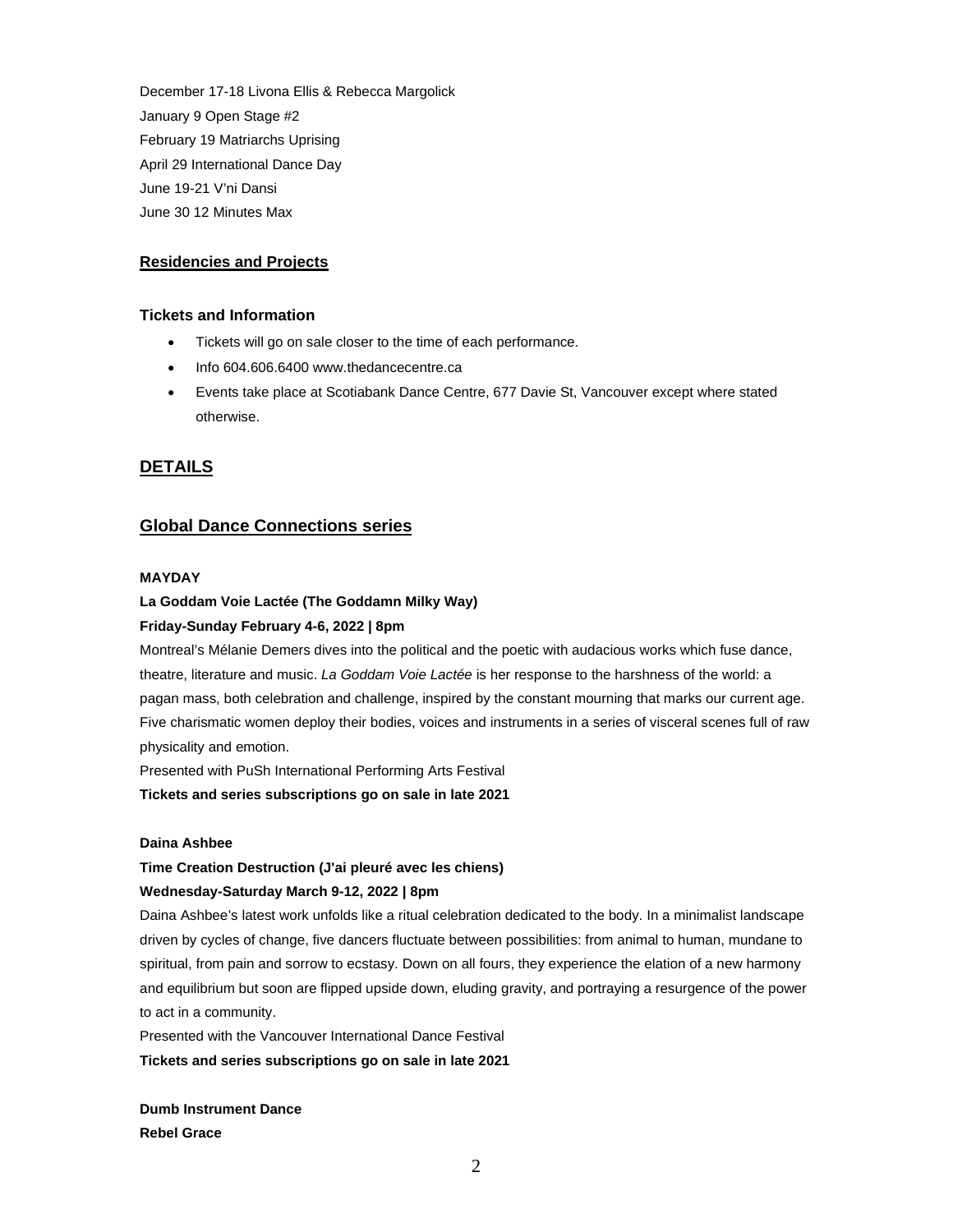December 17-18 Livona Ellis & Rebecca Margolick January 9 Open Stage #2 February 19 Matriarchs Uprising April 29 International Dance Day June 19-21 V'ni Dansi June 30 12 Minutes Max

## **Residencies and Projects**

## **Tickets and Information**

- Tickets will go on sale closer to the time of each performance.
- Info 604,606,6400 www.thedancecentre.ca
- Events take place at Scotiabank Dance Centre, 677 Davie St, Vancouver except where stated otherwise.

## **DETAILS**

## **Global Dance Connections series**

### **MAYDAY**

## **La Goddam Voie Lactée (The Goddamn Milky Way)**

## **Friday-Sunday February 4-6, 2022 | 8pm**

Montreal's Mélanie Demers dives into the political and the poetic with audacious works which fuse dance, theatre, literature and music. *La Goddam Voie Lactée* is her response to the harshness of the world: a pagan mass, both celebration and challenge, inspired by the constant mourning that marks our current age. Five charismatic women deploy their bodies, voices and instruments in a series of visceral scenes full of raw physicality and emotion.

Presented with PuSh International Performing Arts Festival

**Tickets and series subscriptions go on sale in late 2021**

## **Daina Ashbee**

## **Time Creation Destruction (J'ai pleuré avec les chiens)**

## **Wednesday-Saturday March 9-12, 2022 | 8pm**

Daina Ashbee's latest work unfolds like a ritual celebration dedicated to the body. In a minimalist landscape driven by cycles of change, five dancers fluctuate between possibilities: from animal to human, mundane to spiritual, from pain and sorrow to ecstasy. Down on all fours, they experience the elation of a new harmony and equilibrium but soon are flipped upside down, eluding gravity, and portraying a resurgence of the power to act in a community.

Presented with the Vancouver International Dance Festival

**Tickets and series subscriptions go on sale in late 2021**

**Dumb Instrument Dance Rebel Grace**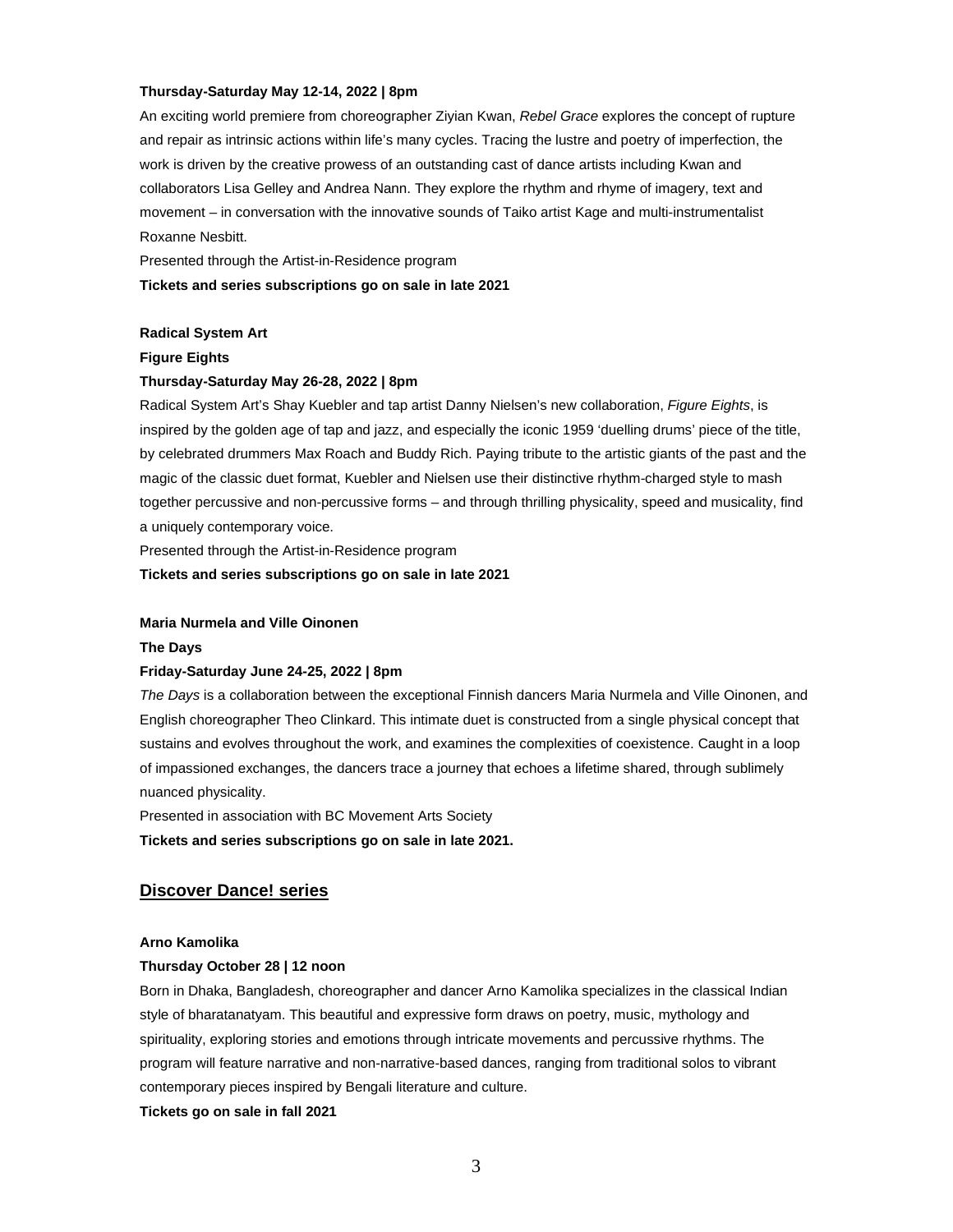#### **Thursday-Saturday May 12-14, 2022 | 8pm**

An exciting world premiere from choreographer Ziyian Kwan, *Rebel Grace* explores the concept of rupture and repair as intrinsic actions within life's many cycles. Tracing the lustre and poetry of imperfection, the work is driven by the creative prowess of an outstanding cast of dance artists including Kwan and collaborators Lisa Gelley and Andrea Nann. They explore the rhythm and rhyme of imagery, text and movement – in conversation with the innovative sounds of Taiko artist Kage and multi-instrumentalist Roxanne Nesbitt.

Presented through the Artist-in-Residence program

#### **Tickets and series subscriptions go on sale in late 2021**

## **Radical System Art**

**Figure Eights**

### **Thursday-Saturday May 26-28, 2022 | 8pm**

Radical System Art's Shay Kuebler and tap artist Danny Nielsen's new collaboration, *Figure Eights*, is inspired by the golden age of tap and jazz, and especially the iconic 1959 'duelling drums' piece of the title, by celebrated drummers Max Roach and Buddy Rich. Paying tribute to the artistic giants of the past and the magic of the classic duet format, Kuebler and Nielsen use their distinctive rhythm-charged style to mash together percussive and non-percussive forms – and through thrilling physicality, speed and musicality, find a uniquely contemporary voice.

Presented through the Artist-in-Residence program

**Tickets and series subscriptions go on sale in late 2021**

#### **Maria Nurmela and Ville Oinonen**

#### **The Days**

#### **Friday-Saturday June 24-25, 2022 | 8pm**

*The Days* is a collaboration between the exceptional Finnish dancers Maria Nurmela and Ville Oinonen, and English choreographer Theo Clinkard. This intimate duet is constructed from a single physical concept that sustains and evolves throughout the work, and examines the complexities of coexistence. Caught in a loop of impassioned exchanges, the dancers trace a journey that echoes a lifetime shared, through sublimely nuanced physicality.

Presented in association with BC Movement Arts Society

**Tickets and series subscriptions go on sale in late 2021.**

## **Discover Dance! series**

### **Arno Kamolika**

## **Thursday October 28 | 12 noon**

Born in Dhaka, Bangladesh, choreographer and dancer Arno Kamolika specializes in the classical Indian style of bharatanatyam. This beautiful and expressive form draws on poetry, music, mythology and spirituality, exploring stories and emotions through intricate movements and percussive rhythms. The program will feature narrative and non-narrative-based dances, ranging from traditional solos to vibrant contemporary pieces inspired by Bengali literature and culture.

**Tickets go on sale in fall 2021**

3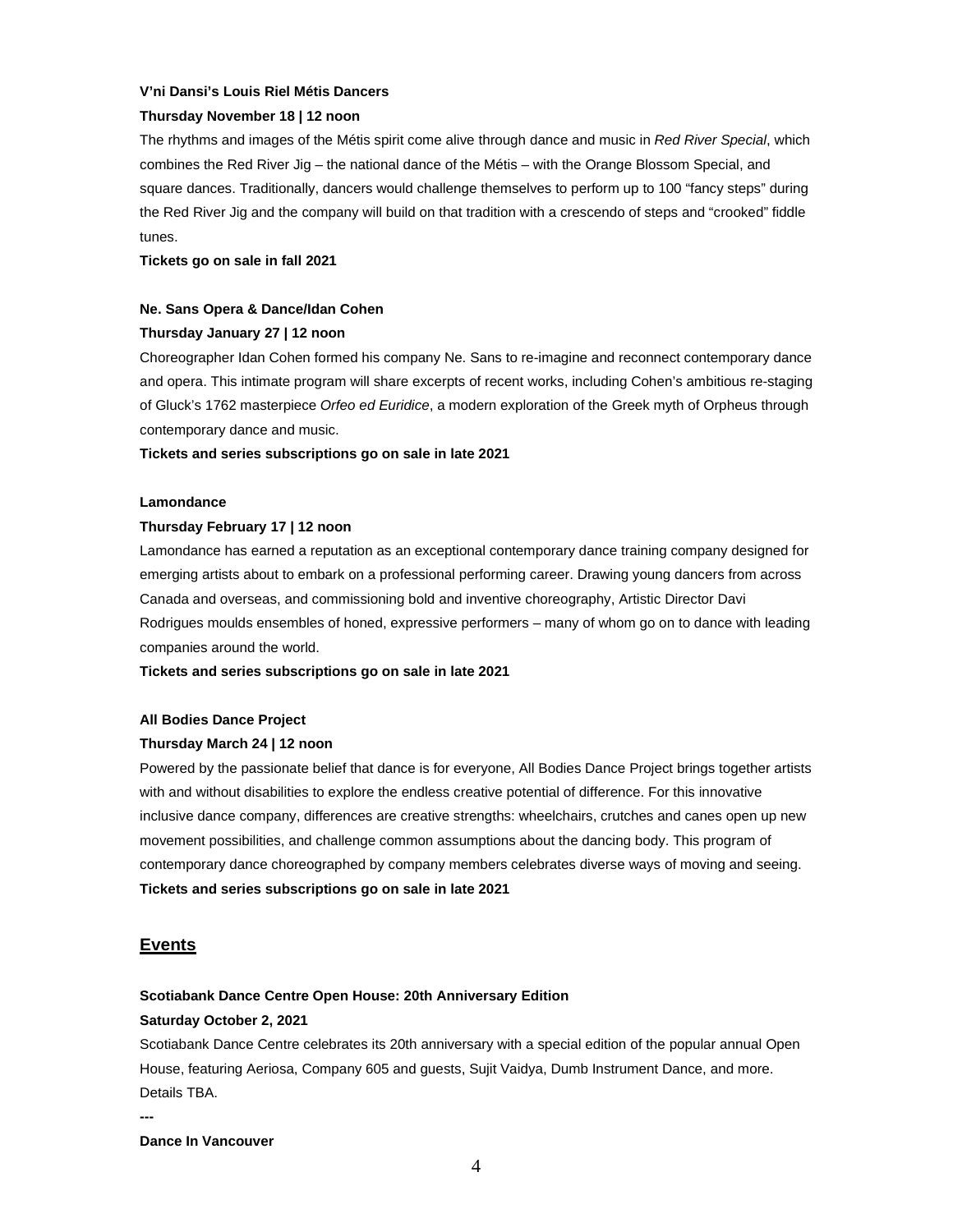#### **V'ni Dansi's Louis Riel Métis Dancers**

#### **Thursday November 18 | 12 noon**

The rhythms and images of the Métis spirit come alive through dance and music in *Red River Special*, which combines the Red River Jig – the national dance of the Métis – with the Orange Blossom Special, and square dances. Traditionally, dancers would challenge themselves to perform up to 100 "fancy steps" during the Red River Jig and the company will build on that tradition with a crescendo of steps and "crooked" fiddle tunes.

**Tickets go on sale in fall 2021**

#### **Ne. Sans Opera & Dance/Idan Cohen**

## **Thursday January 27 | 12 noon**

Choreographer Idan Cohen formed his company Ne. Sans to re-imagine and reconnect contemporary dance and opera. This intimate program will share excerpts of recent works, including Cohen's ambitious re-staging of Gluck's 1762 masterpiece *Orfeo ed Euridice*, a modern exploration of the Greek myth of Orpheus through contemporary dance and music.

**Tickets and series subscriptions go on sale in late 2021**

#### **Lamondance**

#### **Thursday February 17 | 12 noon**

Lamondance has earned a reputation as an exceptional contemporary dance training company designed for emerging artists about to embark on a professional performing career. Drawing young dancers from across Canada and overseas, and commissioning bold and inventive choreography, Artistic Director Davi Rodrigues moulds ensembles of honed, expressive performers – many of whom go on to dance with leading companies around the world.

**Tickets and series subscriptions go on sale in late 2021**

#### **All Bodies Dance Project**

### **Thursday March 24 | 12 noon**

Powered by the passionate belief that dance is for everyone, All Bodies Dance Project brings together artists with and without disabilities to explore the endless creative potential of difference. For this innovative inclusive dance company, differences are creative strengths: wheelchairs, crutches and canes open up new movement possibilities, and challenge common assumptions about the dancing body. This program of contemporary dance choreographed by company members celebrates diverse ways of moving and seeing. **Tickets and series subscriptions go on sale in late 2021**

## **Events**

### **Scotiabank Dance Centre Open House: 20th Anniversary Edition**

#### **Saturday October 2, 2021**

Scotiabank Dance Centre celebrates its 20th anniversary with a special edition of the popular annual Open House, featuring Aeriosa, Company 605 and guests, Sujit Vaidya, Dumb Instrument Dance, and more. Details TBA.

**---**

**Dance In Vancouver**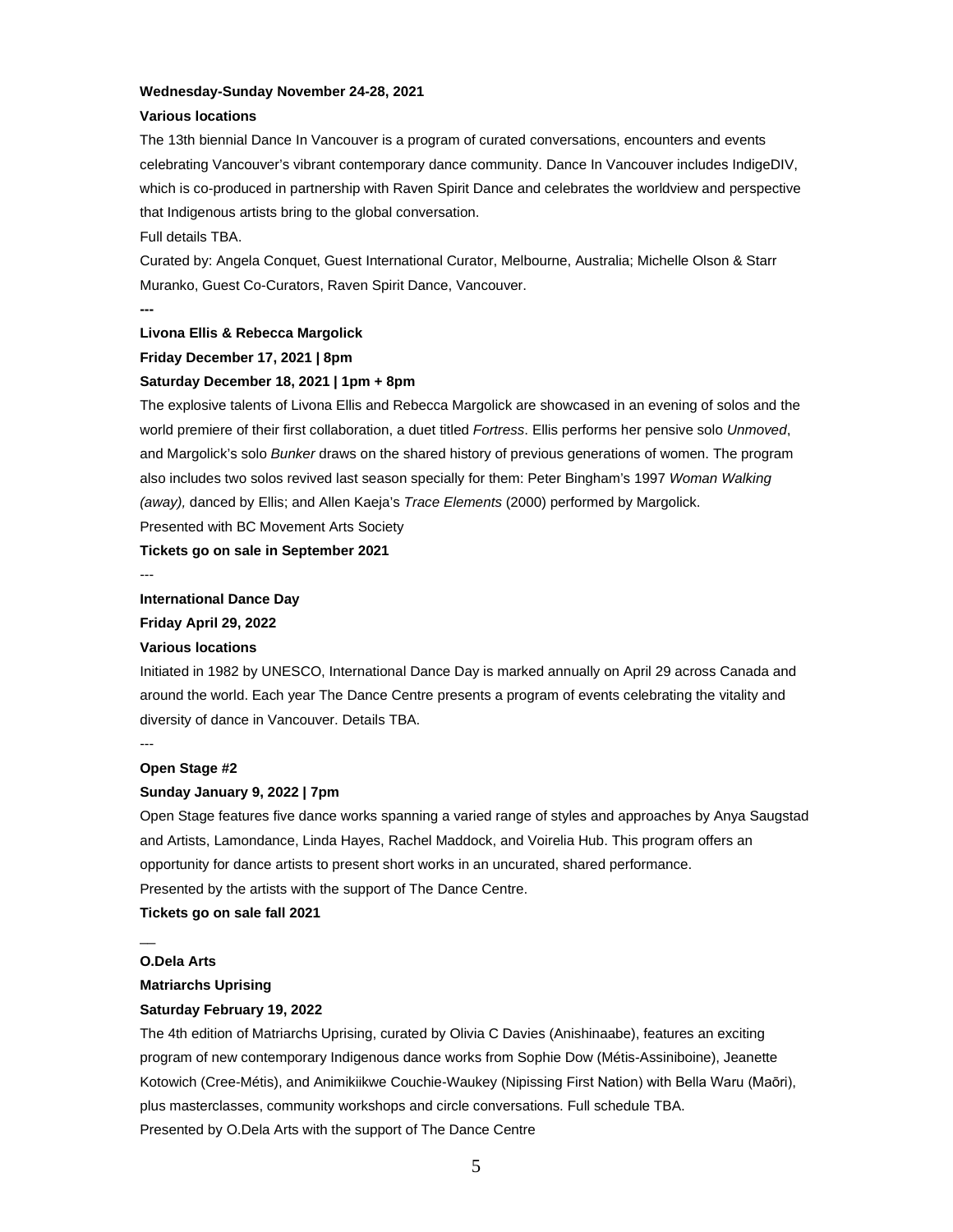#### **Wednesday-Sunday November 24-28, 2021**

#### **Various locations**

The 13th biennial Dance In Vancouver is a program of curated conversations, encounters and events celebrating Vancouver's vibrant contemporary dance community. Dance In Vancouver includes IndigeDIV, which is co-produced in partnership with Raven Spirit Dance and celebrates the worldview and perspective that Indigenous artists bring to the global conversation.

#### Full details TBA.

Curated by: Angela Conquet, Guest International Curator, Melbourne, Australia; Michelle Olson & Starr Muranko, Guest Co-Curators, Raven Spirit Dance, Vancouver.

**---**

#### **Livona Ellis & Rebecca Margolick**

## **Friday December 17, 2021 | 8pm**

#### **Saturday December 18, 2021 | 1pm + 8pm**

The explosive talents of Livona Ellis and Rebecca Margolick are showcased in an evening of solos and the world premiere of their first collaboration, a duet titled *Fortress*. Ellis performs her pensive solo *Unmoved*, and Margolick's solo *Bunker* draws on the shared history of previous generations of women. The program also includes two solos revived last season specially for them: Peter Bingham's 1997 *Woman Walking (away),* danced by Ellis; and Allen Kaeja's *Trace Elements* (2000) performed by Margolick.

Presented with BC Movement Arts Society

**Tickets go on sale in September 2021**

---

#### **International Dance Day**

**Friday April 29, 2022**

#### **Various locations**

Initiated in 1982 by UNESCO, International Dance Day is marked annually on April 29 across Canada and around the world. Each year The Dance Centre presents a program of events celebrating the vitality and diversity of dance in Vancouver. Details TBA.

## **Open Stage #2**

---

#### **Sunday January 9, 2022 | 7pm**

Open Stage features five dance works spanning a varied range of styles and approaches by Anya Saugstad and Artists, Lamondance, Linda Hayes, Rachel Maddock, and Voirelia Hub. This program offers an opportunity for dance artists to present short works in an uncurated, shared performance. Presented by the artists with the support of The Dance Centre.

**Tickets go on sale fall 2021**

 $\overline{a}$ 

## **O.Dela Arts**

## **Matriarchs Uprising**

#### **Saturday February 19, 2022**

The 4th edition of Matriarchs Uprising, curated by Olivia C Davies (Anishinaabe), features an exciting program of new contemporary Indigenous dance works from Sophie Dow (Métis-Assiniboine), Jeanette Kotowich (Cree-Métis), and Animikiikwe Couchie-Waukey (Nipissing First Nation) with Bella Waru (Maōri), plus masterclasses, community workshops and circle conversations. Full schedule TBA. Presented by O.Dela Arts with the support of The Dance Centre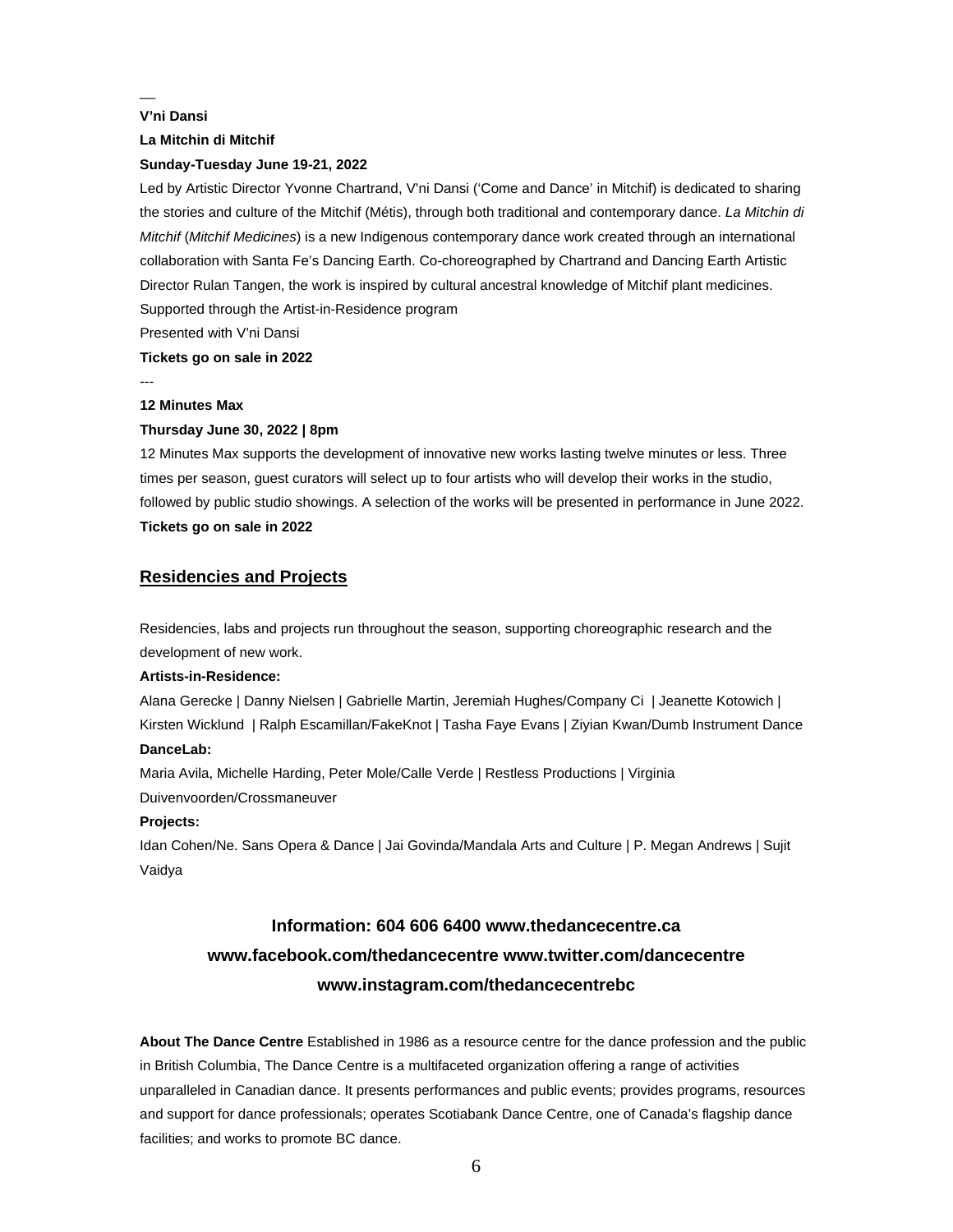## **V'ni Dansi**

 $\overline{a}$ 

### **La Mitchin di Mitchif**

### **Sunday-Tuesday June 19-21, 2022**

Led by Artistic Director Yvonne Chartrand, V'ni Dansi ('Come and Dance' in Mitchif) is dedicated to sharing the stories and culture of the Mitchif (Métis), through both traditional and contemporary dance. *La Mitchin di Mitchif* (*Mitchif Medicines*) is a new Indigenous contemporary dance work created through an international collaboration with Santa Fe's Dancing Earth. Co-choreographed by Chartrand and Dancing Earth Artistic Director Rulan Tangen, the work is inspired by cultural ancestral knowledge of Mitchif plant medicines. Supported through the Artist-in-Residence program

Presented with V'ni Dansi

## **Tickets go on sale in 2022**

#### ---

## **12 Minutes Max**

#### **Thursday June 30, 2022 | 8pm**

12 Minutes Max supports the development of innovative new works lasting twelve minutes or less. Three times per season, guest curators will select up to four artists who will develop their works in the studio, followed by public studio showings. A selection of the works will be presented in performance in June 2022. **Tickets go on sale in 2022**

## **Residencies and Projects**

Residencies, labs and projects run throughout the season, supporting choreographic research and the development of new work.

#### **Artists-in-Residence:**

Alana Gerecke | Danny Nielsen | Gabrielle Martin, Jeremiah Hughes/Company Ci | Jeanette Kotowich | Kirsten Wicklund | Ralph Escamillan/FakeKnot | Tasha Faye Evans | Ziyian Kwan/Dumb Instrument Dance **DanceLab:**

Maria Avila, Michelle Harding, Peter Mole/Calle Verde | Restless Productions | Virginia

Duivenvoorden/Crossmaneuver

## **Projects:**

Idan Cohen/Ne. Sans Opera & Dance | Jai Govinda/Mandala Arts and Culture | P. Megan Andrews | Sujit Vaidya

# **Information: 604 606 6400 www.thedancecentre.ca www.facebook.com/thedancecentre www.twitter.com/dancecentre www.instagram.com/thedancecentrebc**

**About The Dance Centre** Established in 1986 as a resource centre for the dance profession and the public in British Columbia, The Dance Centre is a multifaceted organization offering a range of activities unparalleled in Canadian dance. It presents performances and public events; provides programs, resources and support for dance professionals; operates Scotiabank Dance Centre, one of Canada's flagship dance facilities; and works to promote BC dance.